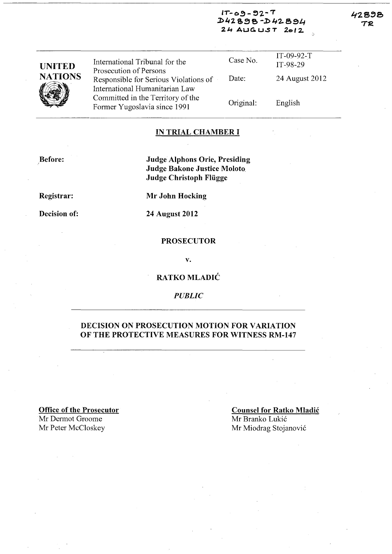#### $IT-09-92-T$  $D42898 - D42894$  $24$  AUGUST  $2012$

 $\checkmark$ 

 $\mathbf{L}$ 

| <b>UNITED</b><br><b>NATIONS</b> | International Tribunal for the                                                                    | Case No.  | IT-09-92-T<br>IT-98-29 |
|---------------------------------|---------------------------------------------------------------------------------------------------|-----------|------------------------|
|                                 | Prosecution of Persons<br>Responsible for Serious Violations of<br>International Humanitarian Law | Date:     | 24 August 2012         |
|                                 | Committed in the Territory of the<br>Former Yugoslavia since 1991                                 | Original: | English                |

#### IN TRIAL CHAMBER I

,Before:

Judge Alphons Orie, Presiding Judge Bakone Justice Moloto. Judge Christoph Fliigge

Registrar:

Mr John Hocking

Decision of:

24 August 2012

#### PROSECUTOR

v.

RATKO MLADIC

*PUBLIC* 

#### DECISION ON PROSECUTION MOTION FOR VARIATION OF THE PROTECTIVE MEASURES FOR WITNESS RM-147

Office of the Prosecutor Mr Dermot Groome Mr Peter McCloskey

#### Counsel for Ratko Mladic Mr Branko Lukić Mr Miodrag Stojanovic

42898 TR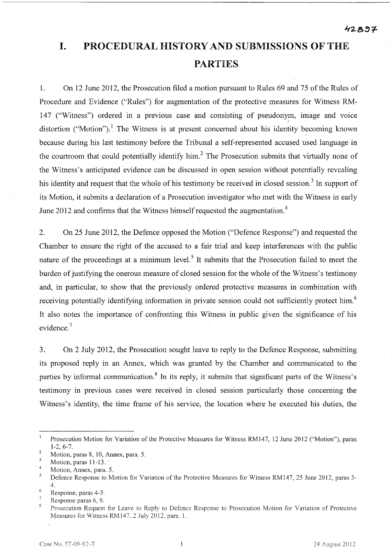# **I. PROCEDURAL HISTORY AND SUBMISSIONS OF** THE **PARTIES**

1. On 12 June 2012, the Prosecution filed a motion pursuant to Rules 69 and 75 of the Rules of Procedure and Evidence ("Rules") for augmentation of the protective measures for Witness RM-147 ("Witness") ordered in a previous case and consisting of pseudonym, image and voice ) distortion ("Motion").<sup>1</sup> The Witness is at present concerned about his identity becoming known because during his last testimony before the Tribunal a self-represented accused used language in the courtroom that could potentially identify him.<sup>2</sup> The Prosecution submits that virtually none of the Witness's anticipated evidence can be discussed in open session without potentially revealing his identity and request that the whole of his testimony be received in closed session.<sup>3</sup> In support of its Motion, it submits a declaration of a Prosecution investigator who met with the Witness in early June 2012 and confirms that the Witness himself requested the augmentation.<sup>4</sup>

2. On 25 June 2012, the Defence opposed the Motion ("Defence Response") and requested the Chamber to ensure the right of the accused to a fair trial and keep interferences with the public nature of the proceedings at a minimum level.<sup>5</sup> It submits that the Prosecution failed to meet the burden of justifying the onerous measure of closed session for the whole of the Witness's testimony and, in particular, to show that the previously ordered protective measures in combination with receiving potentially identifying information in private session could not sufficiently protect him.<sup>6</sup> It also notes the importance of confronting this Witness in public given the significance of his evidence.<sup>7</sup>

3. On 2 July 2012, the Prosecution sought leave to reply to the Defence Response, submitting its proposed reply in an Annex, which was granted by the Chamber and communicated to the parties by informal communication.<sup>8</sup> In its reply, it submits that significant parts of the Witness's testimony in previous cases were received in closed session particularly those concerning the Witness's identity, the time frame of his service, the location where he executed his duties, the

 $\mathbf{1}$ Prosecution Motion for Variation of the Protective Measures for Witness RM147, 12 June 2012 ("Motion"), paras 1-2,6-7.

 $\overline{2}$ Motion, paras 8, 10, Annex, para. 5.

<sup>3</sup> Motion, paras  $11-13$ .

<sup>4</sup>  Motion, Annex, para. 5.

 $\overline{5}$ Defence Response to Motion for Variation of the Protective Measures for Witness RM147, 25 June 2012, paras 3- 4. (,

Response, paras 4-5.

 $\overline{7}$ Response paras 6, 9.

<sup>8</sup> Prosecution Request for Leave to Reply to Defence Response to Prosecution Motion for Variation of Protective Measures for Witness RM147, 2 July 2012, para. l.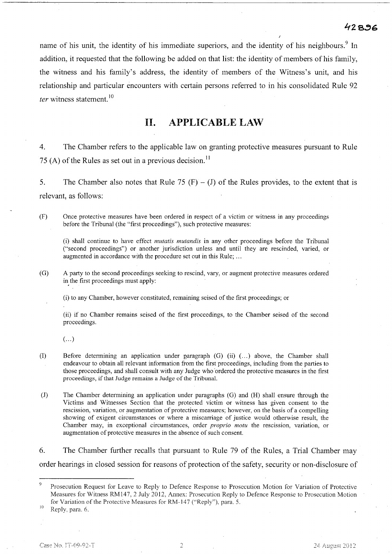name of his unit, the identity of his immediate superiors, and the identity of his neighbours.<sup>9</sup> In addition, it requested that the following be added on that list: the identity of members of his family, the witness and his family's address, the identity of members of the Witness's unit, and his relationship and particular encounters with certain persons referred to in his consolidated Rule 92 *ter* witness statement.<sup>10</sup>

## **11. APPLICABLE LAW**

4. The Chamber refers to the applicable law on granting protective measures pursuant to Rule 75 (A) of the Rules as set out in a previous decision.<sup>11</sup>

5. The Chamber also notes that Rule 75  $(F) - (J)$  of the Rules provides, to the extent that is relevant, as follows:

(F) Once protective measures have been ordered in respect of a victim or witness in any proceedings before the Tribunal (the "first proceedings"), such protective measures:

(i) shall continue to have effect *mutatis mutandis* in any other proceedings before the Tribunal ("second proceedings") or another jurisdiction unless and until they are rescinded, varied, or augmented in accordance with the procedure set out in this Rule; ...

(G) A party to the second proceedings seeking to rescind, vary, or augment protective measures ordered in the first proceedings must apply:

(i) to any Chamber, however constituted, remaining seised of the first proceedings; or

(ii) if no Chamber remains seised of the first proceedings, to the Chamber seised of the second proceedings.

 $\left( \ldots \right)$ 

- (1) Before detennining an application under paragraph (G) (ii) ( ... ) above, the Chamber shall endeavour to obtain all relevant infonnation from the first proceedings, including from the parties to those proceedings, and shall consult with any Judge who 'ordered the protective measures in the first proceedings, if that Judge remains a Judge of the TribunaL
- (1) The Chamber detennining an application under paragraphs (G) and (H) shall ensure through the Victims and Witnesses Section that the protected victim or witness has given consent to the rescission, variation, or augmentation of protective measures; however, on the basis of a compelling showing of exigent circumstances or where a miscarriage of justice would otherwise result, the Chamber may, in exceptional circumstances, order *proprio motu* the rescission, variation, or augmentation of protective measures in the absence of such consent.

6. The Chamber further recalls that pursuant to Rule 79 of the Rules, a Trial Chamber may order hearings in closed session for reasons of protection of the safety, security or non-disclosure of

10 Reply. para, 6,

Prosecution Request for Leave to Reply to Defence Response to Prosecution Motion for Variation of Protective Measures for Witness RM147, 2 July 2012, Annex: Prosecution Reply to Defence Response to Prosecution Motion for Variation of the Protective Measures for RM-147 ("Reply"), para. 5.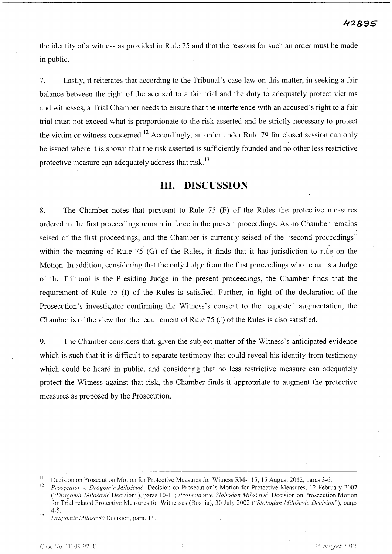the identity of a witness as provided in Rule 75 and that the reasons for such an order must be made in public.

7. Lastly, it reiterates that according to the Tribunal's case-law on this matter, in seeking a fair balance between the right of the accused to a fair trial and the duty to adequately protect victims and witnesses, a Trial Chamber needs to ensure that the interference with an accused's right to a fair trial must not exceed what is proportionate to the risk asserted and be strictly necessary to protect the victim or witness concerned.<sup>12</sup> Accordingly, an order under Rule 79 for closed session can only be issued where it is shown that the risk asserted is sufficiently founded and no other less restrictive protective measure can adequately address that risk.<sup>13</sup>

### **Ill. DISCUSSION**

8. The Chamber notes that pursuant to Rule 75 (F) of the Rules the protective measures ordered in the first proceedings remain in force in the present proceedings. As no Chamber remains seised of the first proceedings, and the Chamber is currently seised of the "second proceedings" within the meaning of Rule 75 (G) of the Rules, it finds that it has jurisdiction to rule on the Motion. In addition, considering that the only Judge from the first proceedings who remains a Judge of the Tribunal is the Presiding Judge in the present proceedings, the Chamber finds that the requirement of Rule 75 (1) of the Rules is satisfied. Further, in light of the declaration of the Prosecution's investigator confirming the Witness's consent to the requested augmentation, the Chamber is of the view that the requirement of Rule 75 (1) of the Rules is also satisfied.

9. The Chamber considers that, given the subject matter of the Witness's anticipated evidence which is such that it is difficult to separate testimony that could reveal his identity from testimony which could be heard in public, and considering that no less restrictive measure can adequately I protect the Witness against that risk, the Chamber finds it appropriate to augment the protective measures as proposed by the Prosecution.

<sup>13</sup> Dragomir Milošević Decision. para. 11.

3

<sup>&</sup>lt;sup>11</sup> Decision on Prosecution Motion for Protective Measures for Witness RM-115, 15 August 2012, paras 3-6.<br><sup>12</sup> Prosecutor v. Dregomin Milošović, Docision on Prosecution's Motion for Protective Measures, 12 February

Prosecutor v. Dragomir Milošević, Decision on Prosecution's Motion for Protective Measures, 12 February 2007 *("Dragomir Milosevic* Decision"), paras 10-11; *Prosecutor v. Slobodan Milosevic,* Decision on Prosecution Motion for Trial related Protective Measures for Witnesses (Bosnia), 30 July 2002 *("Slobodan Milo.l:evic Decision"),* paras  $4-5.$